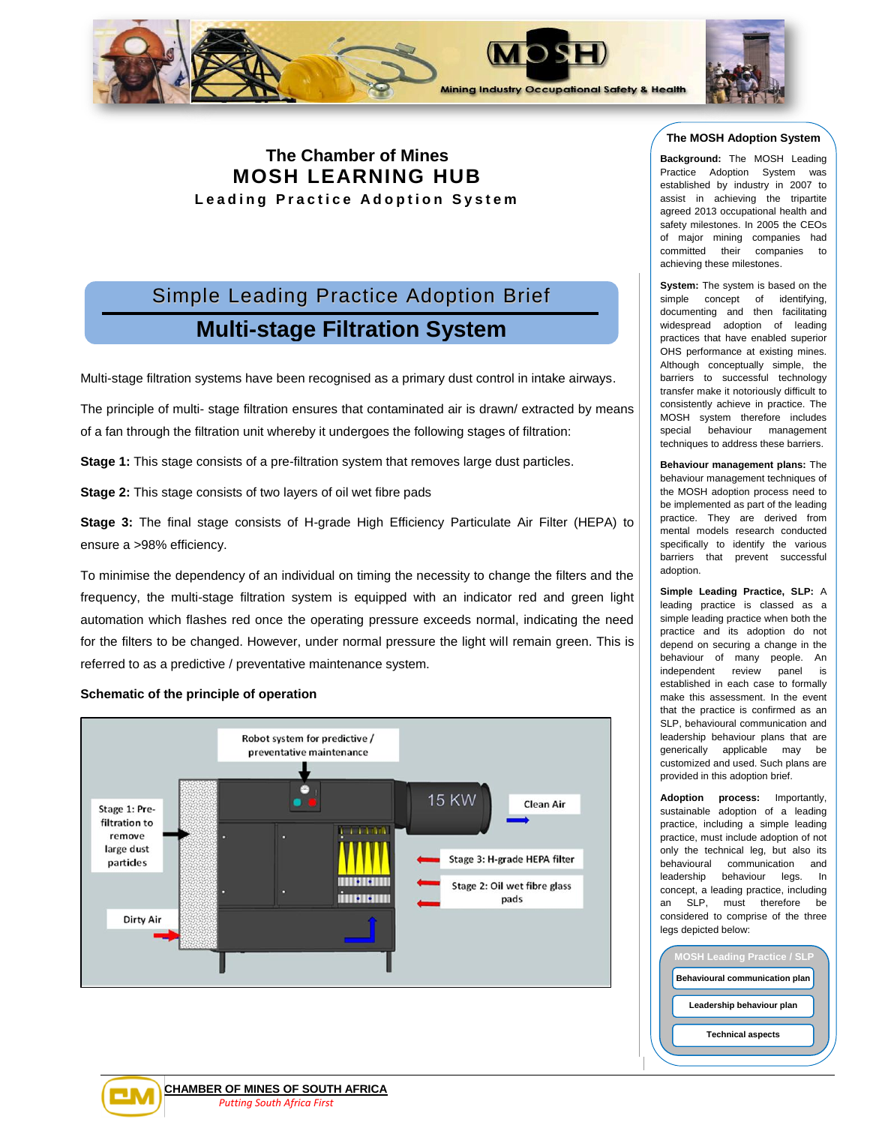

# **The Chamber of Mines MOSH LEARNING HUB Leading Practice Adoption System**

# Simple Leading Practice Adoption Brief **Multi-stage Filtration System**

Multi-stage filtration systems have been recognised as a primary dust control in intake airways.

The principle of multi- stage filtration ensures that contaminated air is drawn/ extracted by means of a fan through the filtration unit whereby it undergoes the following stages of filtration:

**Stage 1:** This stage consists of a pre-filtration system that removes large dust particles.

**Stage 2:** This stage consists of two layers of oil wet fibre pads

**Stage 3:** The final stage consists of H-grade High Efficiency Particulate Air Filter (HEPA) to ensure a >98% efficiency.

To minimise the dependency of an individual on timing the necessity to change the filters and the frequency, the multi-stage filtration system is equipped with an indicator red and green light automation which flashes red once the operating pressure exceeds normal, indicating the need for the filters to be changed. However, under normal pressure the light will remain green. This is referred to as a predictive / preventative maintenance system.

#### **Schematic of the principle of operation**





**Background:** The MOSH Leading Practice Adoption System was established by industry in 2007 to assist in achieving the tripartite agreed 2013 occupational health and safety milestones. In 2005 the CEOs of major mining companies had committed their companies to achieving these milestones.

**System:** The system is based on the simple concept of identifying, documenting and then facilitating widespread adoption of leading practices that have enabled superior OHS performance at existing mines. Although conceptually simple, the barriers to successful technology transfer make it notoriously difficult to consistently achieve in practice. The MOSH system therefore includes special behaviour management techniques to address these barriers.

**Behaviour management plans:** The behaviour management techniques of the MOSH adoption process need to be implemented as part of the leading practice. They are derived from mental models research conducted specifically to identify the various barriers that prevent successful adoption.

**Simple Leading Practice, SLP:** A leading practice is classed as a simple leading practice when both the practice and its adoption do not depend on securing a change in the behaviour of many people. An independent review panel is established in each case to formally make this assessment. In the event that the practice is confirmed as an SLP, behavioural communication and leadership behaviour plans that are generically applicable may be customized and used. Such plans are provided in this adoption brief.

**Adoption process:** Importantly, sustainable adoption of a leading practice, including a simple leading practice, must include adoption of not only the technical leg, but also its behavioural communication and leadership behaviour legs. In concept, a leading practice, including an SLP, must therefore be considered to comprise of the three legs depicted below:

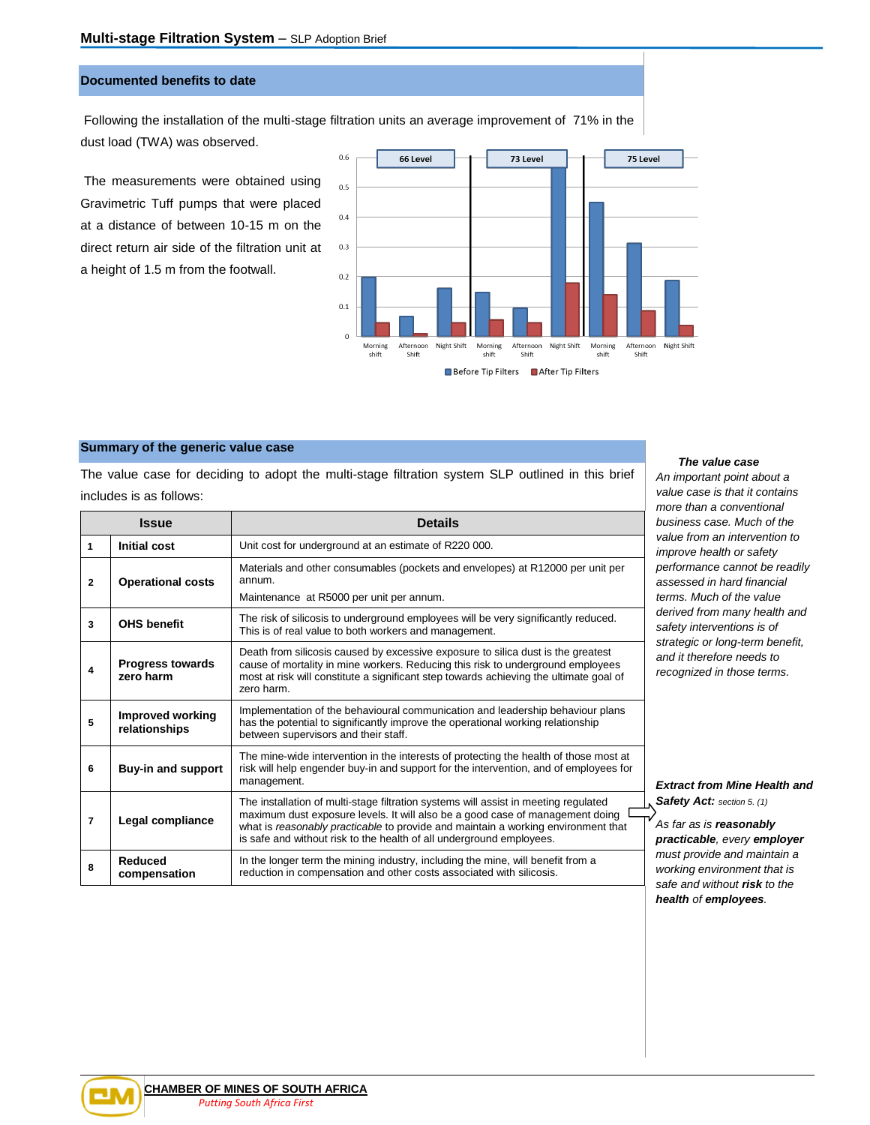# **Documented benefits to date**

Following the installation of the multi-stage filtration units an average improvement of 71% in the dust load (TWA) was observed.

The measurements were obtained using Gravimetric Tuff pumps that were placed at a distance of between 10-15 m on the direct return air side of the filtration unit at a height of 1.5 m from the footwall.



#### **Summary of the generic value case**

The value case for deciding to adopt the multi-stage filtration system SLP outlined in this brief includes is as follows:

| <b>Issue</b>   |                                          | <b>Details</b>                                                                                                                                                                                                                                                                                                                    |  |
|----------------|------------------------------------------|-----------------------------------------------------------------------------------------------------------------------------------------------------------------------------------------------------------------------------------------------------------------------------------------------------------------------------------|--|
| 1              | <b>Initial cost</b>                      | Unit cost for underground at an estimate of R220 000.                                                                                                                                                                                                                                                                             |  |
| $\mathbf{2}$   | <b>Operational costs</b>                 | Materials and other consumables (pockets and envelopes) at R12000 per unit per<br>annum.<br>Maintenance at R5000 per unit per annum.                                                                                                                                                                                              |  |
| 3              | <b>OHS benefit</b>                       | The risk of silicosis to underground employees will be very significantly reduced.<br>This is of real value to both workers and management.                                                                                                                                                                                       |  |
| 4              | <b>Progress towards</b><br>zero harm     | Death from silicosis caused by excessive exposure to silica dust is the greatest<br>cause of mortality in mine workers. Reducing this risk to underground employees<br>most at risk will constitute a significant step towards achieving the ultimate goal of<br>zero harm.                                                       |  |
| 5              | <b>Improved working</b><br>relationships | Implementation of the behavioural communication and leadership behaviour plans<br>has the potential to significantly improve the operational working relationship<br>between supervisors and their staff.                                                                                                                         |  |
| 6              | Buy-in and support                       | The mine-wide intervention in the interests of protecting the health of those most at<br>risk will help engender buy-in and support for the intervention, and of employees for<br>management.                                                                                                                                     |  |
| $\overline{7}$ | Legal compliance                         | The installation of multi-stage filtration systems will assist in meeting regulated<br>maximum dust exposure levels. It will also be a good case of management doing<br>what is reasonably practicable to provide and maintain a working environment that<br>is safe and without risk to the health of all underground employees. |  |
| 8              | <b>Reduced</b><br>compensation           | In the longer term the mining industry, including the mine, will benefit from a<br>reduction in compensation and other costs associated with silicosis.                                                                                                                                                                           |  |

#### *The value case*

*An important point about a value case is that it contains more than a conventional business case. Much of the value from an intervention to improve health or safety performance cannot be readily assessed in hard financial terms. Much of the value derived from many health and safety interventions is of strategic or long-term benefit, and it therefore needs to recognized in those terms.* 

*Extract from Mine Health and Safety Act: section 5. (1)*

*As far as is reasonably practicable, every employer must provide and maintain a working environment that is safe and without risk to the health of employees.* 

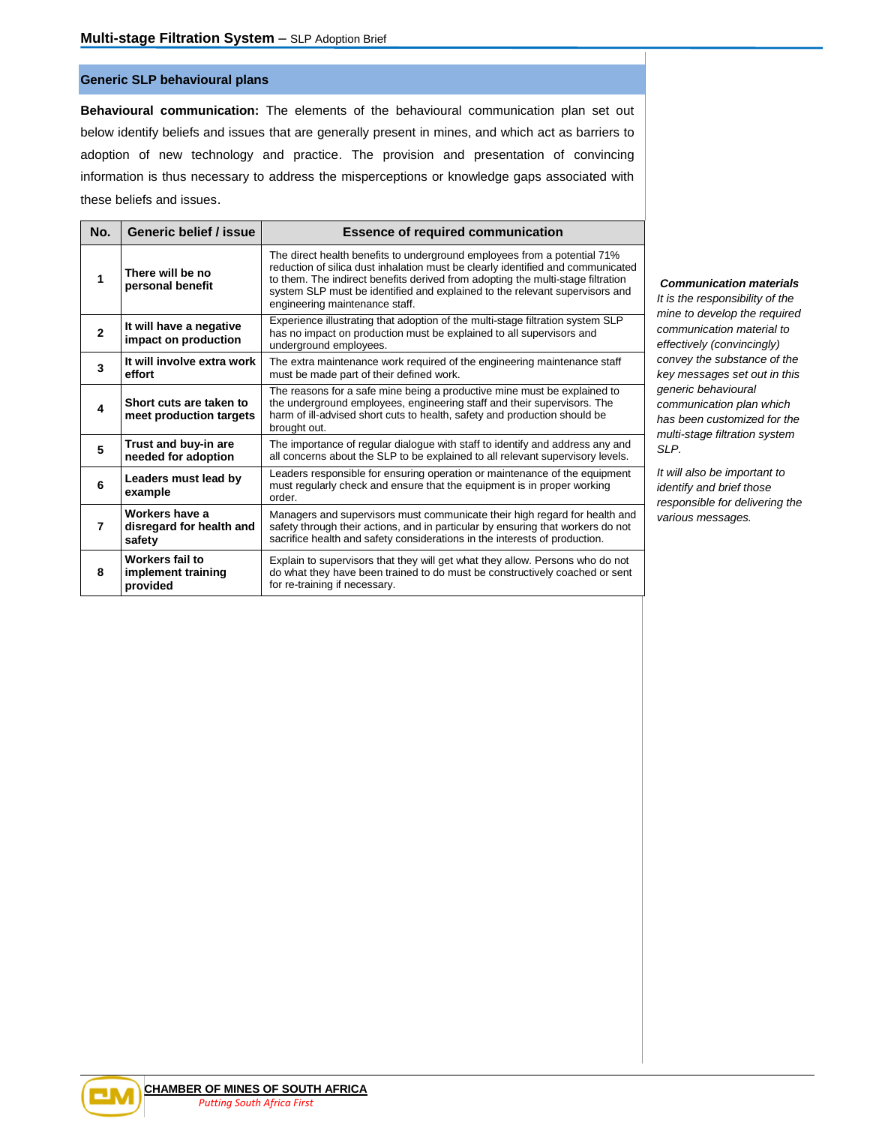# **Generic SLP behavioural plans**

**Behavioural communication:** The elements of the behavioural communication plan set out below identify beliefs and issues that are generally present in mines, and which act as barriers to adoption of new technology and practice. The provision and presentation of convincing information is thus necessary to address the misperceptions or knowledge gaps associated with these beliefs and issues.

| No.            | Generic belief / issue                               | <b>Essence of required communication</b>                                                                                                                                                                                                                                                                                                                        |
|----------------|------------------------------------------------------|-----------------------------------------------------------------------------------------------------------------------------------------------------------------------------------------------------------------------------------------------------------------------------------------------------------------------------------------------------------------|
| 1              | There will be no<br>personal benefit                 | The direct health benefits to underground employees from a potential 71%<br>reduction of silica dust inhalation must be clearly identified and communicated<br>to them. The indirect benefits derived from adopting the multi-stage filtration<br>system SLP must be identified and explained to the relevant supervisors and<br>engineering maintenance staff. |
| $\overline{2}$ | It will have a negative<br>impact on production      | Experience illustrating that adoption of the multi-stage filtration system SLP<br>has no impact on production must be explained to all supervisors and<br>underground employees.                                                                                                                                                                                |
| 3              | It will involve extra work<br>effort                 | The extra maintenance work required of the engineering maintenance staff<br>must be made part of their defined work.                                                                                                                                                                                                                                            |
| 4              | Short cuts are taken to<br>meet production targets   | The reasons for a safe mine being a productive mine must be explained to<br>the underground employees, engineering staff and their supervisors. The<br>harm of ill-advised short cuts to health, safety and production should be<br>brought out.                                                                                                                |
| 5              | Trust and buy-in are<br>needed for adoption          | The importance of regular dialogue with staff to identify and address any and<br>all concerns about the SLP to be explained to all relevant supervisory levels.                                                                                                                                                                                                 |
| 6              | Leaders must lead by<br>example                      | Leaders responsible for ensuring operation or maintenance of the equipment<br>must regularly check and ensure that the equipment is in proper working<br>order.                                                                                                                                                                                                 |
| 7              | Workers have a<br>disregard for health and<br>safety | Managers and supervisors must communicate their high regard for health and<br>safety through their actions, and in particular by ensuring that workers do not<br>sacrifice health and safety considerations in the interests of production.                                                                                                                     |
| 8              | Workers fail to<br>implement training<br>provided    | Explain to supervisors that they will get what they allow. Persons who do not<br>do what they have been trained to do must be constructively coached or sent<br>for re-training if necessary.                                                                                                                                                                   |

#### *Communication materials*

*It is the responsibility of the mine to develop the required communication material to effectively (convincingly) convey the substance of the key messages set out in this generic behavioural communication plan which has been customized for the multi-stage filtration system SLP.* 

*It will also be important to identify and brief those responsible for delivering the various messages.* 

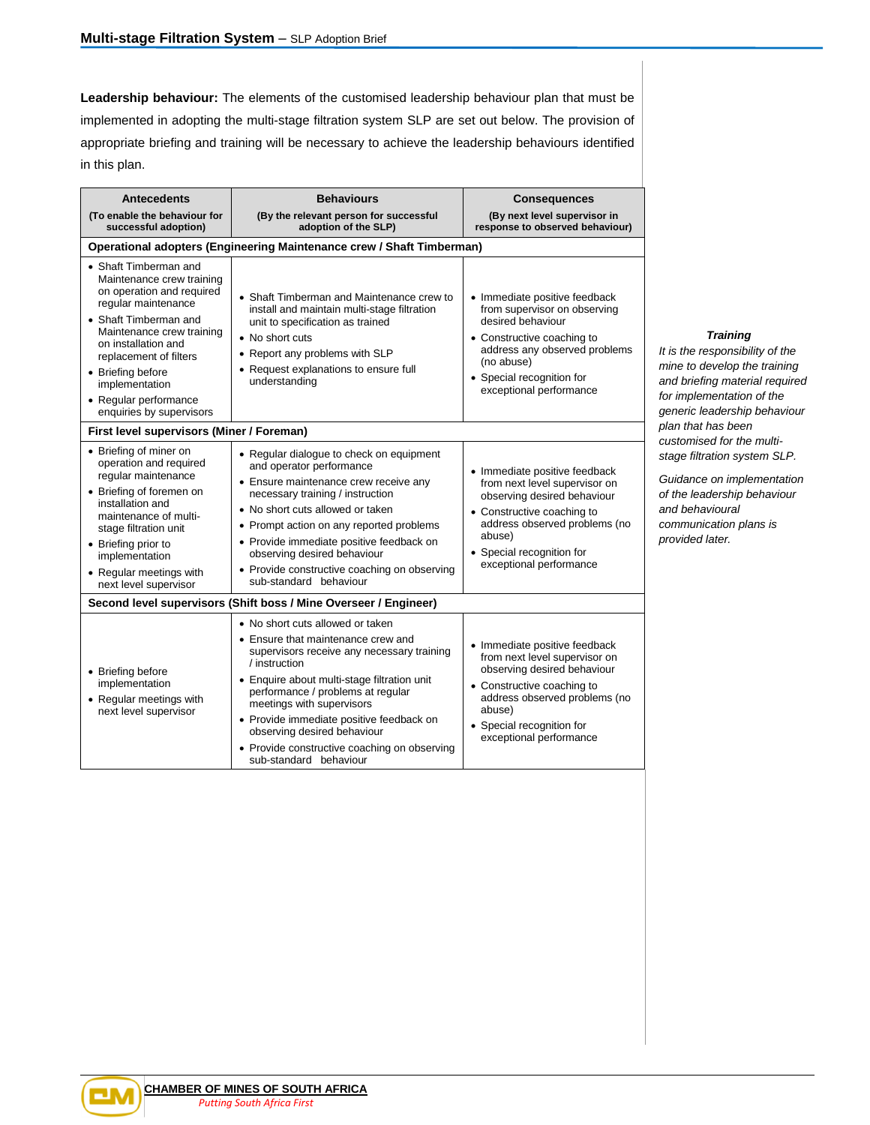**Leadership behaviour:** The elements of the customised leadership behaviour plan that must be implemented in adopting the multi-stage filtration system SLP are set out below. The provision of appropriate briefing and training will be necessary to achieve the leadership behaviours identified in this plan.

| <b>Antecedents</b>                                                                                                                                                                                                                                                                                        | <b>Behaviours</b>                                                                                                                                                                                                                                                                                                                                                                                           | <b>Consequences</b>                                                                                                                                                                                                            |  |  |  |  |
|-----------------------------------------------------------------------------------------------------------------------------------------------------------------------------------------------------------------------------------------------------------------------------------------------------------|-------------------------------------------------------------------------------------------------------------------------------------------------------------------------------------------------------------------------------------------------------------------------------------------------------------------------------------------------------------------------------------------------------------|--------------------------------------------------------------------------------------------------------------------------------------------------------------------------------------------------------------------------------|--|--|--|--|
| (To enable the behaviour for<br>successful adoption)                                                                                                                                                                                                                                                      | (By the relevant person for successful<br>adoption of the SLP)                                                                                                                                                                                                                                                                                                                                              | (By next level supervisor in<br>response to observed behaviour)                                                                                                                                                                |  |  |  |  |
| Operational adopters (Engineering Maintenance crew / Shaft Timberman)                                                                                                                                                                                                                                     |                                                                                                                                                                                                                                                                                                                                                                                                             |                                                                                                                                                                                                                                |  |  |  |  |
| • Shaft Timberman and<br>Maintenance crew training<br>on operation and required<br>regular maintenance<br>• Shaft Timberman and<br>Maintenance crew training<br>on installation and<br>replacement of filters<br>• Briefing before<br>implementation<br>• Regular performance<br>enquiries by supervisors | • Shaft Timberman and Maintenance crew to<br>install and maintain multi-stage filtration<br>unit to specification as trained<br>• No short cuts<br>• Report any problems with SLP<br>• Request explanations to ensure full<br>understanding                                                                                                                                                                 | • Immediate positive feedback<br>from supervisor on observing<br>desired behaviour<br>• Constructive coaching to<br>address any observed problems<br>(no abuse)<br>• Special recognition for<br>exceptional performance        |  |  |  |  |
| First level supervisors (Miner / Foreman)                                                                                                                                                                                                                                                                 |                                                                                                                                                                                                                                                                                                                                                                                                             |                                                                                                                                                                                                                                |  |  |  |  |
| • Briefing of miner on<br>operation and required<br>regular maintenance<br>• Briefing of foremen on<br>installation and<br>maintenance of multi-<br>stage filtration unit<br>• Briefing prior to<br>implementation<br>• Regular meetings with<br>next level supervisor                                    | • Regular dialogue to check on equipment<br>and operator performance<br>• Ensure maintenance crew receive any<br>necessary training / instruction<br>• No short cuts allowed or taken<br>• Prompt action on any reported problems<br>• Provide immediate positive feedback on<br>observing desired behaviour<br>• Provide constructive coaching on observing<br>sub-standard behaviour                      | • Immediate positive feedback<br>from next level supervisor on<br>observing desired behaviour<br>• Constructive coaching to<br>address observed problems (no<br>abuse)<br>• Special recognition for<br>exceptional performance |  |  |  |  |
| Second level supervisors (Shift boss / Mine Overseer / Engineer)                                                                                                                                                                                                                                          |                                                                                                                                                                                                                                                                                                                                                                                                             |                                                                                                                                                                                                                                |  |  |  |  |
| • Briefing before<br>implementation<br>• Regular meetings with<br>next level supervisor                                                                                                                                                                                                                   | • No short cuts allowed or taken<br>• Ensure that maintenance crew and<br>supervisors receive any necessary training<br>/ instruction<br>• Enquire about multi-stage filtration unit<br>performance / problems at regular<br>meetings with supervisors<br>• Provide immediate positive feedback on<br>observing desired behaviour<br>• Provide constructive coaching on observing<br>sub-standard behaviour | • Immediate positive feedback<br>from next level supervisor on<br>observing desired behaviour<br>• Constructive coaching to<br>address observed problems (no<br>abuse)<br>• Special recognition for<br>exceptional performance |  |  |  |  |

# *Training*

*It is the responsibility of the mine to develop the training and briefing material required for implementation of the generic leadership behaviour plan that has been customised for the multistage filtration system SLP.* 

*Guidance on implementation of the leadership behaviour and behavioural communication plans is provided later.* 

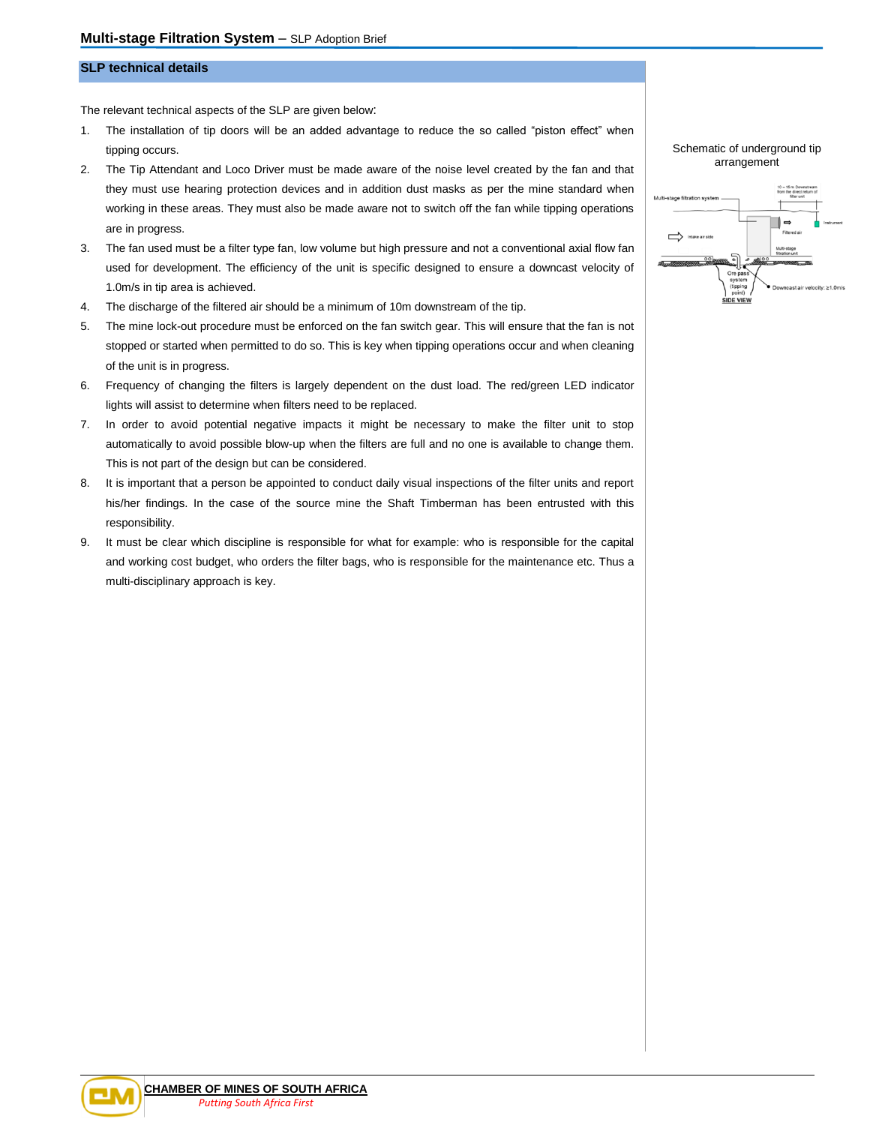# **SLP technical details**

The relevant technical aspects of the SLP are given below:

- 1. The installation of tip doors will be an added advantage to reduce the so called "piston effect" when tipping occurs.
- 2. The Tip Attendant and Loco Driver must be made aware of the noise level created by the fan and that they must use hearing protection devices and in addition dust masks as per the mine standard when working in these areas. They must also be made aware not to switch off the fan while tipping operations are in progress.
- 3. The fan used must be a filter type fan, low volume but high pressure and not a conventional axial flow fan used for development. The efficiency of the unit is specific designed to ensure a downcast velocity of 1.0m/s in tip area is achieved.
- 4. The discharge of the filtered air should be a minimum of 10m downstream of the tip.
- 5. The mine lock-out procedure must be enforced on the fan switch gear. This will ensure that the fan is not stopped or started when permitted to do so. This is key when tipping operations occur and when cleaning of the unit is in progress.
- 6. Frequency of changing the filters is largely dependent on the dust load. The red/green LED indicator lights will assist to determine when filters need to be replaced.
- 7. In order to avoid potential negative impacts it might be necessary to make the filter unit to stop automatically to avoid possible blow-up when the filters are full and no one is available to change them. This is not part of the design but can be considered.
- 8. It is important that a person be appointed to conduct daily visual inspections of the filter units and report his/her findings. In the case of the source mine the Shaft Timberman has been entrusted with this responsibility.
- 9. It must be clear which discipline is responsible for what for example: who is responsible for the capital and working cost budget, who orders the filter bags, who is responsible for the maintenance etc. Thus a multi-disciplinary approach is key.

#### Schematic of underground tip arrangement